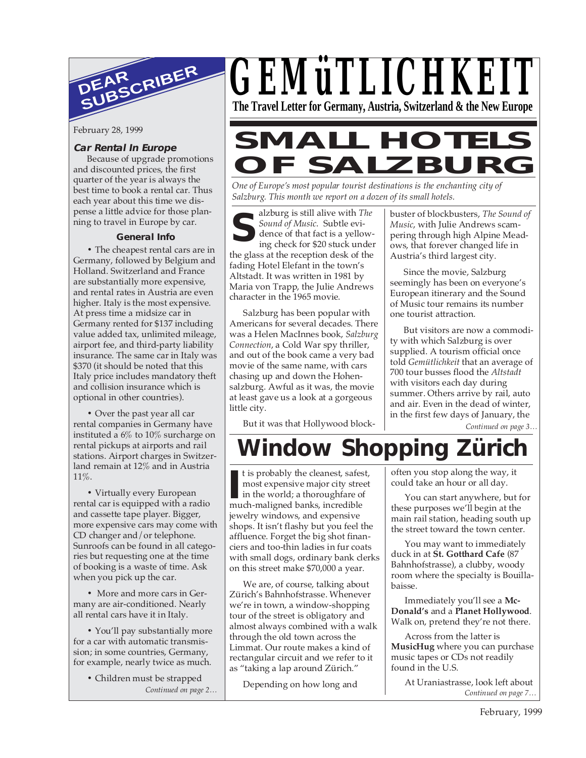

February 28, 1999

### **Car Rental In Europe**

Because of upgrade promotions and discounted prices, the first quarter of the year is always the best time to book a rental car. Thus each year about this time we dispense a little advice for those planning to travel in Europe by car.

### **General Info**

**•** The cheapest rental cars are in Germany, followed by Belgium and Holland. Switzerland and France are substantially more expensive, and rental rates in Austria are even higher. Italy is the most expensive. At press time a midsize car in Germany rented for \$137 including value added tax, unlimited mileage, airport fee, and third-party liability insurance. The same car in Italy was \$370 (it should be noted that this Italy price includes mandatory theft and collision insurance which is optional in other countries).

**•** Over the past year all car rental companies in Germany have instituted a 6% to 10% surcharge on rental pickups at airports and rail stations. Airport charges in Switzerland remain at 12% and in Austria 11%.

**•** Virtually every European rental car is equipped with a radio and cassette tape player. Bigger, more expensive cars may come with CD changer and/or telephone. Sunroofs can be found in all categories but requesting one at the time of booking is a waste of time. Ask when you pick up the car.

**•** More and more cars in Germany are air-conditioned. Nearly all rental cars have it in Italy.

**•** You'll pay substantially more for a car with automatic transmission; in some countries, Germany, for example, nearly twice as much.

> *Continued on page 2…* **•** Children must be strapped



# **SMALL HOTELS OF SALZBURG**

*One of Europe's most popular tourist destinations is the enchanting city of Salzburg. This month we report on a dozen of its small hotels.*

**S** alzburg is still alive with *The Sound of Music*. Subtle evidence of that fact is a yellowing check for \$20 stuck under the glass at the reception desk of the fading Hotel Elefant in the town's Altstadt. It was written in 1981 by Maria von Trapp, the Julie Andrews character in the 1965 movie.

Salzburg has been popular with Americans for several decades. There was a Helen MacInnes book, *Salzburg Connection*, a Cold War spy thriller, and out of the book came a very bad movie of the same name, with cars chasing up and down the Hohensalzburg. Awful as it was, the movie at least gave us a look at a gorgeous little city.

But it was that Hollywood block-

buster of blockbusters, *The Sound of Music*, with Julie Andrews scampering through high Alpine Meadows, that forever changed life in Austria's third largest city.

Since the movie, Salzburg seemingly has been on everyone's European itinerary and the Sound of Music tour remains its number one tourist attraction.

But visitors are now a commodity with which Salzburg is over supplied. A tourism official once told *Gemütlichkeit* that an average of 700 tour busses flood the *Altstadt* with visitors each day during summer. Others arrive by rail, auto and air. Even in the dead of winter, in the first few days of January, the

*Continued on page 3…*

# **Window Shopping Zürich**

t is probably the cleanest, safest, most expensive major city street in the world; a thoroughfare of It is probably the cleanest, safes most expensive major city stre in the world; a thoroughfare o much-maligned banks, incredible jewelry windows, and expensive shops. It isn't flashy but you feel the affluence. Forget the big shot financiers and too-thin ladies in fur coats with small dogs, ordinary bank clerks on this street make \$70,000 a year.

We are, of course, talking about Zürich's Bahnhofstrasse. Whenever we're in town, a window-shopping tour of the street is obligatory and almost always combined with a walk through the old town across the Limmat. Our route makes a kind of rectangular circuit and we refer to it as "taking a lap around Zürich."

Depending on how long and

often you stop along the way, it could take an hour or all day.

You can start anywhere, but for these purposes we'll begin at the main rail station, heading south up the street toward the town center.

You may want to immediately duck in at **St. Gotthard Cafe** (87 Bahnhofstrasse), a clubby, woody room where the specialty is Bouillabaisse.

Immediately you'll see a **Mc-Donald's** and a **Planet Hollywood**. Walk on, pretend they're not there.

Across from the latter is **MusicHug** where you can purchase music tapes or CDs not readily found in the U.S.

*Continued on page 7…* At Uraniastrasse, look left about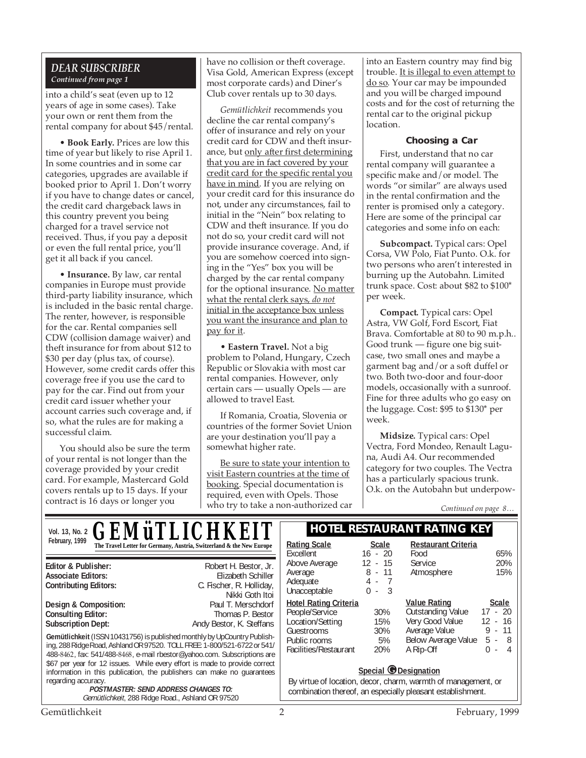## *DEAR SUBSCRIBER Continued from page 1*

into a child's seat (even up to 12 years of age in some cases). Take your own or rent them from the rental company for about \$45/rental.

• **Book Early.** Prices are low this time of year but likely to rise April 1. In some countries and in some car categories, upgrades are available if booked prior to April 1. Don't worry if you have to change dates or cancel, the credit card chargeback laws in this country prevent you being charged for a travel service not received. Thus, if you pay a deposit or even the full rental price, you'll get it all back if you cancel.

• **Insurance.** By law, car rental companies in Europe must provide third-party liability insurance, which is included in the basic rental charge. The renter, however, is responsible for the car. Rental companies sell CDW (collision damage waiver) and theft insurance for from about \$12 to \$30 per day (plus tax, of course). However, some credit cards offer this coverage free if you use the card to pay for the car. Find out from your credit card issuer whether your account carries such coverage and, if so, what the rules are for making a successful claim.

You should also be sure the term of your rental is not longer than the coverage provided by your credit card. For example, Mastercard Gold covers rentals up to 15 days. If your contract is 16 days or longer you

have no collision or theft coverage. Visa Gold, American Express (except most corporate cards) and Diner's Club cover rentals up to 30 days.

*Gemütlichkeit* recommends you decline the car rental company's offer of insurance and rely on your credit card for CDW and theft insurance, but only after first determining that you are in fact covered by your credit card for the specific rental you have in mind. If you are relying on your credit card for this insurance do not, under any circumstances, fail to initial in the "Nein" box relating to CDW and theft insurance. If you do not do so, your credit card will not provide insurance coverage. And, if you are somehow coerced into signing in the "Yes" box you will be charged by the car rental company for the optional insurance. No matter what the rental clerk says, *do not* initial in the acceptance box unless you want the insurance and plan to pay for it.

• **Eastern Travel.** Not a big problem to Poland, Hungary, Czech Republic or Slovakia with most car rental companies. However, only certain cars — usually Opels — are allowed to travel East.

If Romania, Croatia, Slovenia or countries of the former Soviet Union are your destination you'll pay a somewhat higher rate.

Be sure to state your intention to visit Eastern countries at the time of booking. Special documentation is required, even with Opels. Those who try to take a non-authorized car into an Eastern country may find big trouble. It is illegal to even attempt to do so. Your car may be impounded and you will be charged impound costs and for the cost of returning the rental car to the original pickup location.

#### **Choosing a Car**

First, understand that no car rental company will guarantee a specific make and/or model. The words "or similar" are always used in the rental confirmation and the renter is promised only a category. Here are some of the principal car categories and some info on each:

**Subcompact.** Typical cars: Opel Corsa, VW Polo, Fiat Punto. O.k. for two persons who aren't interested in burning up the Autobahn. Limited trunk space. Cost: about \$82 to \$100\* per week.

**Compact.** Typical cars: Opel Astra, VW Golf, Ford Escort, Fiat Brava. Comfortable at 80 to 90 m.p.h.. Good trunk — figure one big suitcase, two small ones and maybe a garment bag and/or a soft duffel or two. Both two-door and four-door models, occasionally with a sunroof. Fine for three adults who go easy on the luggage. Cost: \$95 to \$130\* per week.

**Midsize.** Typical cars: Opel Vectra, Ford Mondeo, Renault Laguna, Audi A4. Our recommended category for two couples. The Vectra has a particularly spacious trunk. O.k. on the Autobahn but underpow-

*Continued on page 8…*

| VOL. 13, No. 2 <b>GEMÜTLICHKEIT</b>                                                                                                                                                                                                                                                                                                                                                                                                                                                                                |                                                                                            | <b>HOTEL RESTAURANT RATING KEY</b>                                                                                                                          |                                                 |                                                             |                                                |
|--------------------------------------------------------------------------------------------------------------------------------------------------------------------------------------------------------------------------------------------------------------------------------------------------------------------------------------------------------------------------------------------------------------------------------------------------------------------------------------------------------------------|--------------------------------------------------------------------------------------------|-------------------------------------------------------------------------------------------------------------------------------------------------------------|-------------------------------------------------|-------------------------------------------------------------|------------------------------------------------|
| February, 1999                                                                                                                                                                                                                                                                                                                                                                                                                                                                                                     | The Travel Letter for Germany, Austria, Switzerland & the New Europe                       | <b>Rating Scale</b><br>Excellent                                                                                                                            | <b>Scale</b><br>$16 - 20$                       | <b>Restaurant Criteria</b><br>Food                          | 65%                                            |
| Editor & Publisher:<br><b>Associate Editors:</b><br><b>Contributing Editors:</b>                                                                                                                                                                                                                                                                                                                                                                                                                                   | Robert H. Bestor, Jr.<br>Elizabeth Schiller<br>C. Fischer, R. Holliday,<br>Nikki Goth Itoi | Above Average<br>Average<br>Adequate<br>Unacceptable                                                                                                        | $12 - 15$<br>$8 - 11$<br>$4 -$<br>-3<br>0<br>×. | Service<br>Atmosphere                                       | 20%<br>15%                                     |
| Design & Composition:<br><b>Consulting Editor:</b><br><b>Subscription Dept:</b>                                                                                                                                                                                                                                                                                                                                                                                                                                    | Paul T. Merschdorf<br>Thomas P. Bestor<br>Andy Bestor, K. Steffans                         | <b>Hotel Rating Criteria</b><br>People/Service<br>Location/Setting                                                                                          | 30%<br>15%                                      | <b>Value Rating</b><br>Outstanding Value<br>Very Good Value | Scale<br>$17 - 20$<br>12<br>$-16$              |
| Gemütlichkeit (ISSN 10431756) is published monthly by UpCountry Publish-<br>ing, 288 Ridge Road, Ashland OR 97520. TOLL FREE: 1-800/521-6722 or 541/<br>488-8462, fax: 541/488-8468, e-mail rbestor@yahoo.com. Subscriptions are<br>\$67 per year for 12 issues. While every effort is made to provide correct<br>information in this publication, the publishers can make no quarantees<br>regarding accuracy.<br><b>POSTMASTER: SEND ADDRESS CHANGES TO:</b><br>Gemütlichkeit, 288 Ridge Road., Ashland OR 97520 |                                                                                            | Guestrooms<br>Public rooms<br>Facilities/Restaurant                                                                                                         | 30%<br>5%<br>20%                                | Average Value<br>Below Average Value<br>A Rip-Off           | -11<br>9 -<br>5 - 8<br>$\Omega$<br>4<br>$\sim$ |
|                                                                                                                                                                                                                                                                                                                                                                                                                                                                                                                    |                                                                                            | Special <i>O</i> Designation<br>By virtue of location, decor, charm, warmth of management, or<br>combination thereof, an especially pleasant establishment. |                                                 |                                                             |                                                |
| Gemütlichkeit<br>2<br>February, 1999                                                                                                                                                                                                                                                                                                                                                                                                                                                                               |                                                                                            |                                                                                                                                                             |                                                 |                                                             |                                                |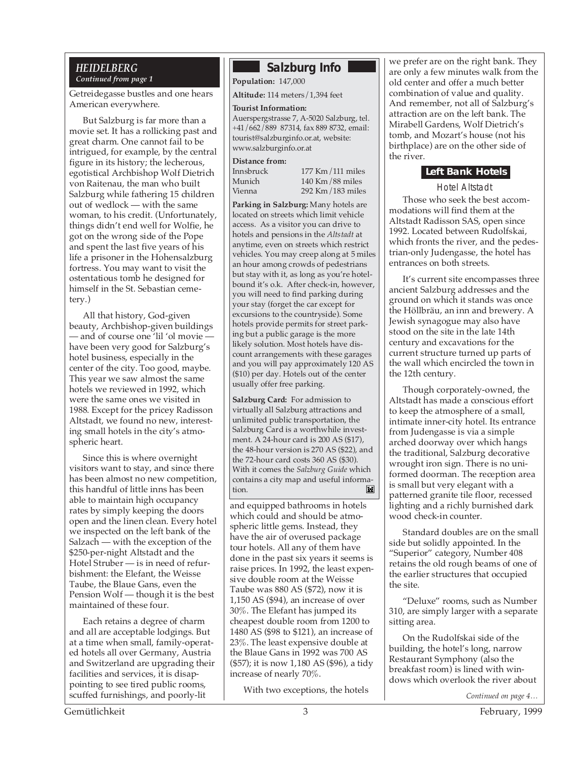#### *HEIDELBERG Continued from page 1*

Getreidegasse bustles and one hears American everywhere.

But Salzburg is far more than a movie set. It has a rollicking past and great charm. One cannot fail to be intrigued, for example, by the central figure in its history; the lecherous, egotistical Archbishop Wolf Dietrich von Raitenau, the man who built Salzburg while fathering 15 children out of wedlock — with the same woman, to his credit. (Unfortunately, things didn't end well for Wolfie, he got on the wrong side of the Pope and spent the last five years of his life a prisoner in the Hohensalzburg fortress. You may want to visit the ostentatious tomb he designed for himself in the St. Sebastian cemetery.)

All that history, God-given beauty, Archbishop-given buildings — and of course one 'lil 'ol movie have been very good for Salzburg's hotel business, especially in the center of the city. Too good, maybe. This year we saw almost the same hotels we reviewed in 1992, which were the same ones we visited in 1988. Except for the pricey Radisson Altstadt, we found no new, interesting small hotels in the city's atmospheric heart.

Since this is where overnight visitors want to stay, and since there has been almost no new competition, this handful of little inns has been able to maintain high occupancy rates by simply keeping the doors open and the linen clean. Every hotel we inspected on the left bank of the Salzach — with the exception of the \$250-per-night Altstadt and the Hotel Struber — is in need of refurbishment: the Elefant, the Weisse Taube, the Blaue Gans, even the Pension Wolf — though it is the best maintained of these four.

Each retains a degree of charm and all are acceptable lodgings. But at a time when small, family-operated hotels all over Germany, Austria and Switzerland are upgrading their facilities and services, it is disappointing to see tired public rooms, scuffed furnishings, and poorly-lit

# **Salzburg Info**

**Population:** 147,000

**Altitude:** 114 meters/1,394 feet

#### **Tourist Information:**

Auerspergstrasse 7, A-5020 Salzburg, tel. +41/662/889 87314, fax 889 8732, email: tourist@salzburginfo.or.at, website: www.salzburginfo.or.at

#### **Distance from:**

| Innsbruck | 177 Km/111 miles  |
|-----------|-------------------|
| Munich    | $140$ Km/88 miles |
| Vienna    | 292 Km/183 miles  |

Innsbruck 177 Km/111 miles 292 Km/183 miles

**Parking in Salzburg:** Many hotels are located on streets which limit vehicle access. As a visitor you can drive to hotels and pensions in the *Altstadt* at anytime, even on streets which restrict vehicles. You may creep along at 5 miles an hour among crowds of pedestrians but stay with it, as long as you're hotelbound it's o.k. After check-in, however, you will need to find parking during your stay (forget the car except for excursions to the countryside). Some hotels provide permits for street parking but a public garage is the more likely solution. Most hotels have discount arrangements with these garages and you will pay approximately 120 AS (\$10) per day. Hotels out of the center usually offer free parking.

**Salzburg Card:** For admission to virtually all Salzburg attractions and unlimited public transportation, the Salzburg Card is a worthwhile investment. A 24-hour card is 200 AS (\$17), the 48-hour version is 270 AS (\$22), and the 72-hour card costs 360 AS (\$30). With it comes the *Salzburg Guide* which contains a city map and useful information.  $\blacksquare$ 

and equipped bathrooms in hotels which could and should be atmospheric little gems. Instead, they have the air of overused package tour hotels. All any of them have done in the past six years it seems is raise prices. In 1992, the least expensive double room at the Weisse Taube was 880 AS (\$72), now it is 1,150 AS (\$94), an increase of over 30%. The Elefant has jumped its cheapest double room from 1200 to 1480 AS (\$98 to \$121), an increase of 23%. The least expensive double at the Blaue Gans in 1992 was 700 AS (\$57); it is now 1,180 AS (\$96), a tidy increase of nearly 70%.

With two exceptions, the hotels

we prefer are on the right bank. They are only a few minutes walk from the old center and offer a much better combination of value and quality. And remember, not all of Salzburg's attraction are on the left bank. The Mirabell Gardens, Wolf Dietrich's tomb, and Mozart's house (not his birthplace) are on the other side of the river.

## **Left Bank Hotels**

Hotel Altstadt

Those who seek the best accommodations will find them at the Altstadt Radisson SAS, open since 1992. Located between Rudolfskai, which fronts the river, and the pedestrian-only Judengasse, the hotel has entrances on both streets.

It's current site encompasses three ancient Salzburg addresses and the ground on which it stands was once the Höllbräu, an inn and brewery. A Jewish synagogue may also have stood on the site in the late 14th century and excavations for the current structure turned up parts of the wall which encircled the town in the 12th century.

Though corporately-owned, the Altstadt has made a conscious effort to keep the atmosphere of a small, intimate inner-city hotel. Its entrance from Judengasse is via a simple arched doorway over which hangs the traditional, Salzburg decorative wrought iron sign. There is no uniformed doorman. The reception area is small but very elegant with a patterned granite tile floor, recessed lighting and a richly burnished dark wood check-in counter.

Standard doubles are on the small side but solidly appointed. In the "Superior" category, Number 408 retains the old rough beams of one of the earlier structures that occupied the site.

"Deluxe" rooms, such as Number 310, are simply larger with a separate sitting area.

On the Rudolfskai side of the building, the hotel's long, narrow Restaurant Symphony (also the breakfast room) is lined with windows which overlook the river about

*Continued on page 4…*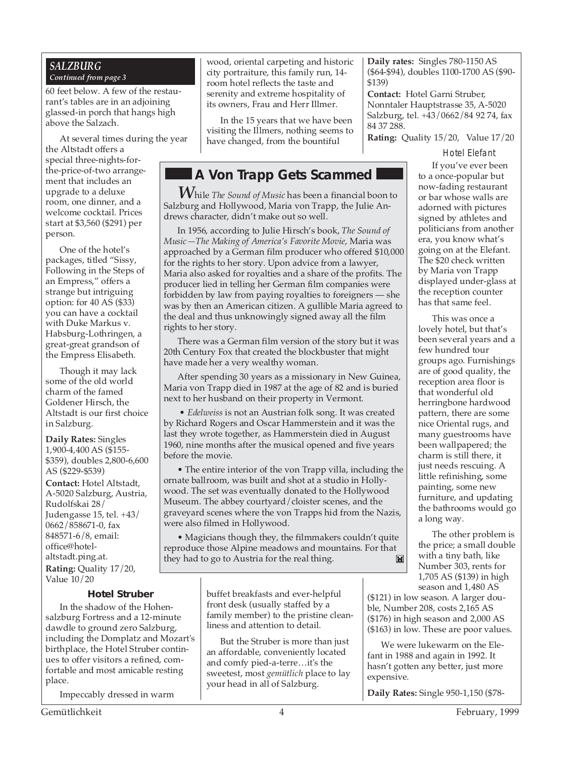#### *SALZBURG Continued from page 3*

60 feet below. A few of the restaurant's tables are in an adjoining glassed-in porch that hangs high above the Salzach.

At several times during the year

the Altstadt offers a special three-nights-forthe-price-of-two arrangement that includes an upgrade to a deluxe room, one dinner, and a welcome cocktail. Prices start at \$3,560 (\$291) per person.

One of the hotel's packages, titled "Sissy, Following in the Steps of an Empress," offers a strange but intriguing option: for 40 AS (\$33) you can have a cocktail with Duke Markus v. Habsburg-Lothringen, a great-great grandson of the Empress Elisabeth.

Though it may lack some of the old world charm of the famed Goldener Hirsch, the Altstadt is our first choice in Salzburg.

**Daily Rates:** Singles 1,900-4,400 AS (\$155- \$359), doubles 2,800-6,600 AS (\$229-\$539)

**Contact:** Hotel Altstadt, A-5020 Salzburg, Austria, Rudolfskai 28/ Judengasse 15, tel. +43/ 0662/858671-0, fax 848571-6/8, email: office@hotelaltstadt.ping.at. **Rating:** Quality 17/20,

Value 10/20

### **Hotel Struber**

In the shadow of the Hohensalzburg Fortress and a 12-minute dawdle to ground zero Salzburg, including the Domplatz and Mozart's birthplace, the Hotel Struber continues to offer visitors a refined, comfortable and most amicable resting place.

Impeccably dressed in warm

wood, oriental carpeting and historic city portraiture, this family run, 14 room hotel reflects the taste and serenity and extreme hospitality of its owners, Frau and Herr Illmer.

In the 15 years that we have been visiting the Illmers, nothing seems to have changed, from the bountiful

# **A Von Trapp Gets Scammed**

*W*hile *The Sound of Music* has been a financial boon to Salzburg and Hollywood, Maria von Trapp, the Julie Andrews character, didn't make out so well.

In 1956, according to Julie Hirsch's book, *The Sound of Music—The Making of America's Favorite Movie*, Maria was approached by a German film producer who offered \$10,000 for the rights to her story. Upon advice from a lawyer, Maria also asked for royalties and a share of the profits. The producer lied in telling her German film companies were forbidden by law from paying royalties to foreigners — she was by then an American citizen. A gullible Maria agreed to the deal and thus unknowingly signed away all the film rights to her story.

There was a German film version of the story but it was 20th Century Fox that created the blockbuster that might have made her a very wealthy woman.

After spending 30 years as a missionary in New Guinea, Maria von Trapp died in 1987 at the age of 82 and is buried next to her husband on their property in Vermont.

 • *Edelweiss* is not an Austrian folk song. It was created by Richard Rogers and Oscar Hammerstein and it was the last they wrote together, as Hammerstein died in August 1960, nine months after the musical opened and five years before the movie.

• The entire interior of the von Trapp villa, including the ornate ballroom, was built and shot at a studio in Hollywood. The set was eventually donated to the Hollywood Museum. The abbey courtyard/cloister scenes, and the graveyard scenes where the von Trapps hid from the Nazis, were also filmed in Hollywood.

• Magicians though they, the filmmakers couldn't quite reproduce those Alpine meadows and mountains. For that they had to go to Austria for the real thing. $\mathbf{M}$ 

> buffet breakfasts and ever-helpful front desk (usually staffed by a family member) to the pristine cleanliness and attention to detail.

> But the Struber is more than just an affordable, conveniently located and comfy pied-a-terre…it's the sweetest, most *gemütlich* place to lay your head in all of Salzburg.

**Daily rates:** Singles 780-1150 AS (\$64-\$94), doubles 1100-1700 AS (\$90- \$139)

**Contact:** Hotel Garni Struber, Nonntaler Hauptstrasse 35, A-5020 Salzburg, tel. +43/0662/84 92 74, fax 84 37 288.

**Rating:** Quality 15/20, Value 17/20

Hotel Elefant

If you've ever been to a once-popular but now-fading restaurant or bar whose walls are adorned with pictures signed by athletes and politicians from another era, you know what's going on at the Elefant. The \$20 check written by Maria von Trapp displayed under-glass at the reception counter has that same feel.

This was once a lovely hotel, but that's been several years and a few hundred tour groups ago. Furnishings are of good quality, the reception area floor is that wonderful old herringbone hardwood pattern, there are some nice Oriental rugs, and many guestrooms have been wallpapered; the charm is still there, it just needs rescuing. A little refinishing, some painting, some new furniture, and updating the bathrooms would go a long way.

The other problem is the price; a small double with a tiny bath, like Number 303, rents for 1,705 AS (\$139) in high season and 1,480 AS

(\$121) in low season. A larger double, Number 208, costs 2,165 AS (\$176) in high season and 2,000 AS (\$163) in low. These are poor values.

We were lukewarm on the Elefant in 1988 and again in 1992. It hasn't gotten any better, just more expensive.

**Daily Rates:** Single 950-1,150 (\$78-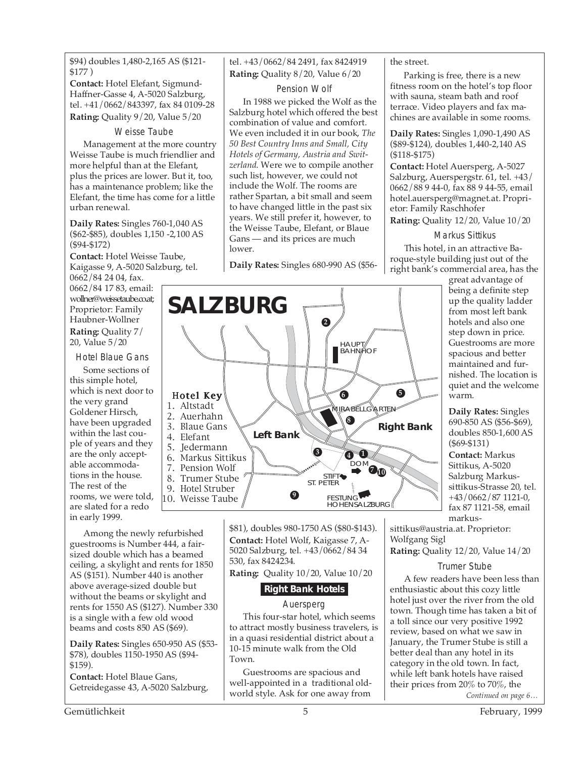\$94) doubles 1,480-2,165 AS (\$121- \$177 )

**Contact:** Hotel Elefant, Sigmund-Haffner-Gasse 4, A-5020 Salzburg, tel. +41/0662/843397, fax 84 0109-28 **Rating:** Quality 9/20, Value 5/20

#### Weisse Taube

Management at the more country Weisse Taube is much friendlier and more helpful than at the Elefant, plus the prices are lower. But it, too, has a maintenance problem; like the Elefant, the time has come for a little urban renewal.

**Daily Rates:** Singles 760-1,040 AS (\$62-\$85), doubles 1,150 -2,100 AS (\$94-\$172)

**Contact:** Hotel Weisse Taube, Kaigasse 9, A-5020 Salzburg, tel.

> Hotel Key 1. Altstadt 2. Auerhahn 3. Blaue Gans 4. Elefant 5. Jedermann 6. Markus Sittikus 7. Pension Wolf 8. Trumer Stube 9. Hotel Struber 10. Weisse Taube

**SALZBURG**

0662/84 24 04, fax. 0662/84 17 83, email: wollner@weissetaube.co.at; Proprietor: Family Haubner-Wollner **Rating:** Quality 7/ 20, Value 5/20

Hotel Blaue Gans

Some sections of this simple hotel, which is next door to the very grand Goldener Hirsch, have been upgraded within the last couple of years and they are the only acceptable accommodations in the house. The rest of the rooms, we were told, are slated for a redo in early 1999.

Among the newly refurbished guestrooms is Number 444, a fairsized double which has a beamed ceiling, a skylight and rents for 1850 AS (\$151). Number 440 is another above average-sized double but without the beams or skylight and rents for 1550 AS (\$127). Number 330 is a single with a few old wood beams and costs 850 AS (\$69).

**Daily Rates:** Singles 650-950 AS (\$53- \$78), doubles 1150-1950 AS (\$94- \$159).

**Contact:** Hotel Blaue Gans, Getreidegasse 43, A-5020 Salzburg, tel. +43/0662/84 2491, fax 8424919 **Rating:** Quality 8/20, Value 6/20

### Pension Wolf

In 1988 we picked the Wolf as the Salzburg hotel which offered the best combination of value and comfort. We even included it in our book, *The 50 Best Country Inns and Small, City Hotels of Germany, Austria and Switzerland*. Were we to compile another such list, however, we could not include the Wolf. The rooms are rather Spartan, a bit small and seem to have changed little in the past six years. We still prefer it, however, to the Weisse Taube, Elefant, or Blaue Gans — and its prices are much lower.

**Daily Rates:** Singles 680-990 AS (\$56-

MIRABELLGARTEN

**6 5**

DOM **10 7**

FESTUNG HOHENSALZBURG

**4 1**

HAUPT **BAHNAOF** 

**2**

**8**

**Right Bank Left Bank**

#### the street.

Parking is free, there is a new fitness room on the hotel's top floor with sauna, steam bath and roof terrace. Video players and fax machines are available in some rooms.

**Daily Rates:** Singles 1,090-1,490 AS (\$89-\$124), doubles 1,440-2,140 AS (\$118-\$175)

**Contact:** Hotel Auersperg, A-5027 Salzburg, Auerspergstr. 61, tel. +43/ 0662/88 9 44-0, fax 88 9 44-55, email hotel.auersperg@magnet.at. Proprietor: Family Raschhofer

**Rating:** Quality 12/20, Value 10/20

#### Markus Sittikus

This hotel, in an attractive Baroque-style building just out of the right bank's commercial area, has the

> great advantage of being a definite step up the quality ladder from most left bank hotels and also one step down in price. Guestrooms are more spacious and better maintained and furnished. The location is quiet and the welcome warm.

**Daily Rates:** Singles 690-850 AS (\$56-\$69), doubles 850-1,600 AS (\$69-\$131)

**Contact:** Markus Sittikus, A-5020 Salzburg Markussittikus-Strasse 20, tel. +43/0662/87 1121-0, fax 87 1121-58, email markus-

sittikus@austria.at. Proprietor: Wolfgang Sigl

**Rating:** Quality 12/20, Value 14/20

#### Trumer Stube

*Continued on page 6…* A few readers have been less than enthusiastic about this cozy little hotel just over the river from the old town. Though time has taken a bit of a toll since our very positive 1992 review, based on what we saw in January, the Trumer Stube is still a better deal than any hotel in its category in the old town. In fact, while left bank hotels have raised their prices from 20% to 70%, the

\$81), doubles 980-1750 AS (\$80-\$143). **Contact:** Hotel Wolf, Kaigasse 7, A-5020 Salzburg, tel. +43/0662/84 34 530, fax 8424234.

**9**

STIFT ST. PETER

**3**

**Rating:** Quality 10/20, Value 10/20

# **Right Bank Hotels**

### Auersperg

This four-star hotel, which seems to attract mostly business travelers, is in a quasi residential district about a 10-15 minute walk from the Old Town.

Guestrooms are spacious and well-appointed in a traditional oldworld style. Ask for one away from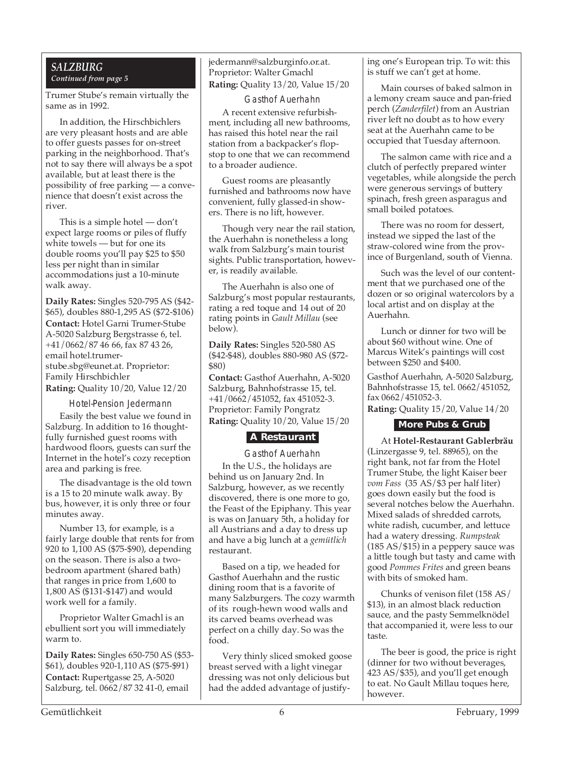### *SALZBURG Continued from page 5*

Trumer Stube's remain virtually the same as in 1992.

In addition, the Hirschbichlers are very pleasant hosts and are able to offer guests passes for on-street parking in the neighborhood. That's not to say there will always be a spot available, but at least there is the possibility of free parking — a convenience that doesn't exist across the river.

This is a simple hotel — don't expect large rooms or piles of fluffy white towels — but for one its double rooms you'll pay \$25 to \$50 less per night than in similar accommodations just a 10-minute walk away.

**Daily Rates:** Singles 520-795 AS (\$42- \$65), doubles 880-1,295 AS (\$72-\$106) **Contact:** Hotel Garni Trumer-Stube A-5020 Salzburg Bergstrasse 6, tel. +41/0662/87 46 66, fax 87 43 26, email hotel.trumerstube.sbg@eunet.at. Proprietor: Family Hirschbichler **Rating:** Quality 10/20, Value 12/20

Hotel-Pension Jedermann

Easily the best value we found in Salzburg. In addition to 16 thoughtfully furnished guest rooms with hardwood floors, guests can surf the Internet in the hotel's cozy reception area and parking is free.

The disadvantage is the old town is a 15 to 20 minute walk away. By bus, however, it is only three or four minutes away.

Number 13, for example, is a fairly large double that rents for from 920 to 1,100 AS (\$75-\$90), depending on the season. There is also a twobedroom apartment (shared bath) that ranges in price from 1,600 to 1,800 AS (\$131-\$147) and would work well for a family.

Proprietor Walter Gmachl is an ebullient sort you will immediately warm to.

**Daily Rates:** Singles 650-750 AS (\$53- \$61), doubles 920-1,110 AS (\$75-\$91) **Contact:** Rupertgasse 25, A-5020 Salzburg, tel. 0662/87 32 41-0, email

jedermann@salzburginfo.or.at. Proprietor: Walter Gmachl **Rating:** Quality 13/20, Value 15/20

Gasthof Auerhahn

A recent extensive refurbishment, including all new bathrooms, has raised this hotel near the rail station from a backpacker's flopstop to one that we can recommend to a broader audience.

Guest rooms are pleasantly furnished and bathrooms now have convenient, fully glassed-in showers. There is no lift, however.

Though very near the rail station, the Auerhahn is nonetheless a long walk from Salzburg's main tourist sights. Public transportation, however, is readily available.

The Auerhahn is also one of Salzburg's most popular restaurants, rating a red toque and 14 out of 20 rating points in *Gault Millau* (see below).

**Daily Rates:** Singles 520-580 AS (\$42-\$48), doubles 880-980 AS (\$72- \$80)

**Contact:** Gasthof Auerhahn, A-5020 Salzburg, Bahnhofstrasse 15, tel. +41/0662/451052, fax 451052-3. Proprietor: Family Pongratz **Rating:** Quality 10/20, Value 15/20

## **A Restaurant**

Gasthof Auerhahn In the U.S., the holidays are behind us on January 2nd. In Salzburg, however, as we recently discovered, there is one more to go, the Feast of the Epiphany. This year is was on January 5th, a holiday for all Austrians and a day to dress up and have a big lunch at a *gemütlich* restaurant.

Based on a tip, we headed for Gasthof Auerhahn and the rustic dining room that is a favorite of many Salzburgers. The cozy warmth of its rough-hewn wood walls and its carved beams overhead was perfect on a chilly day. So was the food.

Very thinly sliced smoked goose breast served with a light vinegar dressing was not only delicious but had the added advantage of justifying one's European trip. To wit: this is stuff we can't get at home.

Main courses of baked salmon in a lemony cream sauce and pan-fried perch (*Zanderfilet*) from an Austrian river left no doubt as to how every seat at the Auerhahn came to be occupied that Tuesday afternoon.

The salmon came with rice and a clutch of perfectly prepared winter vegetables, while alongside the perch were generous servings of buttery spinach, fresh green asparagus and small boiled potatoes.

There was no room for dessert, instead we sipped the last of the straw-colored wine from the province of Burgenland, south of Vienna.

Such was the level of our contentment that we purchased one of the dozen or so original watercolors by a local artist and on display at the Auerhahn.

Lunch or dinner for two will be about \$60 without wine. One of Marcus Witek's paintings will cost between \$250 and \$400.

Gasthof Auerhahn, A-5020 Salzburg, Bahnhofstrasse 15, tel. 0662/451052, fax 0662/451052-3.

**Rating:** Quality 15/20, Value 14/20

### **More Pubs & Grub**

At **Hotel-Restaurant Gablerbräu** (Linzergasse 9, tel. 88965), on the right bank, not far from the Hotel Trumer Stube, the light Kaiser beer *vom Fass* (35 AS/\$3 per half liter) goes down easily but the food is several notches below the Auerhahn. Mixed salads of shredded carrots, white radish, cucumber, and lettuce had a watery dressing. *Rumpsteak* (185 AS/\$15) in a peppery sauce was a little tough but tasty and came with good *Pommes Frites* and green beans with bits of smoked ham.

Chunks of venison filet (158 AS/ \$13), in an almost black reduction sauce, and the pasty Semmelknödel that accompanied it, were less to our taste.

The beer is good, the price is right (dinner for two without beverages, 423 AS/\$35), and you'll get enough to eat. No Gault Millau toques here, however.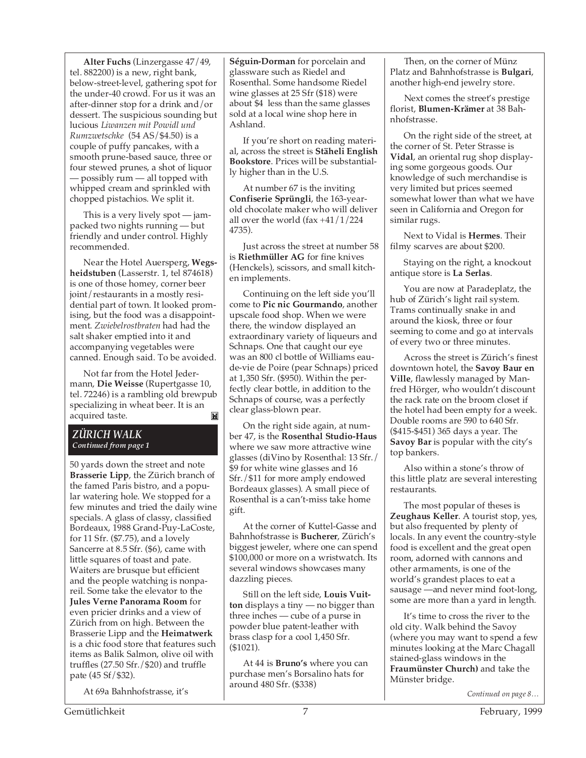**Alter Fuchs** (Linzergasse 47/49, tel. 882200) is a new, right bank, below-street-level, gathering spot for the under-40 crowd. For us it was an after-dinner stop for a drink and/or dessert. The suspicious sounding but lucious *Liwanzen mit Powidl und Rumzwetschke* (54 AS/\$4.50) is a couple of puffy pancakes, with a smooth prune-based sauce, three or four stewed prunes, a shot of liquor — possibly rum — all topped with whipped cream and sprinkled with chopped pistachios. We split it.

This is a very lively spot — jampacked two nights running — but friendly and under control. Highly recommended.

Near the Hotel Auersperg, **Wegsheidstuben** (Lasserstr. 1, tel 874618) is one of those homey, corner beer joint/restaurants in a mostly residential part of town. It looked promising, but the food was a disappointment. *Zwiebelrostbraten* had had the salt shaker emptied into it and accompanying vegetables were canned. Enough said. To be avoided.

Not far from the Hotel Jedermann, **Die Weisse** (Rupertgasse 10, tel. 72246) is a rambling old brewpub specializing in wheat beer. It is an acquired taste. $\mathbf{E}$ 

#### *ZÜRICH WALK Continued from page 1*

50 yards down the street and note **Brasserie Lipp**, the Zürich branch of the famed Paris bistro, and a popular watering hole. We stopped for a few minutes and tried the daily wine specials. A glass of classy, classified Bordeaux, 1988 Grand-Puy-LaCoste, for 11 Sfr. (\$7.75), and a lovely Sancerre at 8.5 Sfr. (\$6), came with little squares of toast and pate. Waiters are brusque but efficient and the people watching is nonpareil. Some take the elevator to the **Jules Verne Panorama Room** for even pricier drinks and a view of Zürich from on high. Between the Brasserie Lipp and the **Heimatwerk** is a chic food store that features such items as Balik Salmon, olive oil with truffles (27.50 Sfr./\$20) and truffle pate (45 Sf/\$32).

At 69a Bahnhofstrasse, it's

**Séguin-Dorman** for porcelain and glassware such as Riedel and Rosenthal. Some handsome Riedel wine glasses at 25 Sfr (\$18) were about \$4 less than the same glasses sold at a local wine shop here in Ashland.

If you're short on reading material, across the street is **Stäheli English Bookstore**. Prices will be substantially higher than in the U.S.

At number 67 is the inviting **Confiserie Sprüngli**, the 163-yearold chocolate maker who will deliver all over the world (fax +41/1/224 4735).

Just across the street at number 58 is **Riethmüller AG** for fine knives (Henckels), scissors, and small kitchen implements.

Continuing on the left side you'll come to **Pic nic Gourmando**, another upscale food shop. When we were there, the window displayed an extraordinary variety of liqueurs and Schnaps. One that caught our eye was an 800 cl bottle of Williams eaude-vie de Poire (pear Schnaps) priced at 1,350 Sfr. (\$950). Within the perfectly clear bottle, in addition to the Schnaps of course, was a perfectly clear glass-blown pear.

On the right side again, at number 47, is the **Rosenthal Studio-Haus** where we saw more attractive wine glasses (diVino by Rosenthal: 13 Sfr./ \$9 for white wine glasses and 16 Sfr./\$11 for more amply endowed Bordeaux glasses). A small piece of Rosenthal is a can't-miss take home gift.

At the corner of Kuttel-Gasse and Bahnhofstrasse is **Bucherer**, Zürich's biggest jeweler, where one can spend \$100,000 or more on a wristwatch. Its several windows showcases many dazzling pieces.

Still on the left side, **Louis Vuitton** displays a tiny — no bigger than three inches — cube of a purse in powder blue patent-leather with brass clasp for a cool 1,450 Sfr. (\$1021).

At 44 is **Bruno's** where you can purchase men's Borsalino hats for around 480 Sfr. (\$338)

Then, on the corner of Münz Platz and Bahnhofstrasse is **Bulgari**, another high-end jewelry store.

Next comes the street's prestige florist, **Blumen-Krämer** at 38 Bahnhofstrasse.

On the right side of the street, at the corner of St. Peter Strasse is **Vidal**, an oriental rug shop displaying some gorgeous goods. Our knowledge of such merchandise is very limited but prices seemed somewhat lower than what we have seen in California and Oregon for similar rugs.

Next to Vidal is **Hermes**. Their filmy scarves are about \$200.

Staying on the right, a knockout antique store is **La Serlas**.

You are now at Paradeplatz, the hub of Zürich's light rail system. Trams continually snake in and around the kiosk, three or four seeming to come and go at intervals of every two or three minutes.

Across the street is Zürich's finest downtown hotel, the **Savoy Baur en Ville**, flawlessly managed by Manfred Hörger, who wouldn't discount the rack rate on the broom closet if the hotel had been empty for a week. Double rooms are 590 to 640 Sfr. (\$415-\$451) 365 days a year. The **Savoy Bar** is popular with the city's top bankers.

Also within a stone's throw of this little platz are several interesting restaurants.

The most popular of theses is **Zeughaus Keller**. A tourist stop, yes, but also frequented by plenty of locals. In any event the country-style food is excellent and the great open room, adorned with cannons and other armaments, is one of the world's grandest places to eat a sausage —and never mind foot-long, some are more than a yard in length.

It's time to cross the river to the old city. Walk behind the Savoy (where you may want to spend a few minutes looking at the Marc Chagall stained-glass windows in the **Fraumünster Church)** and take the Münster bridge.

*Continued on page 8…*